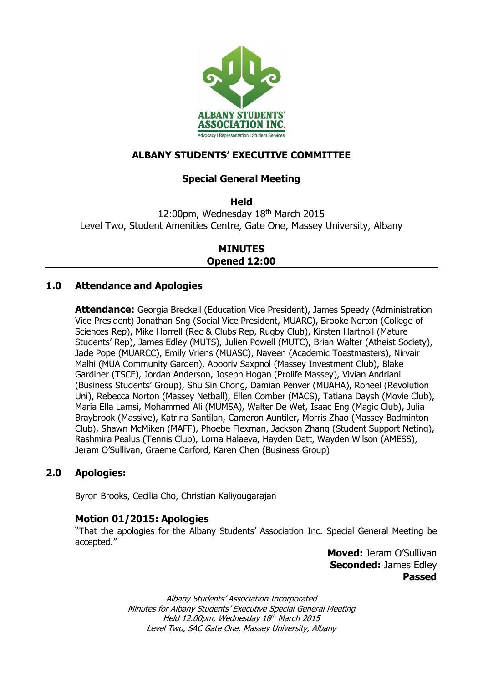

# **ALBANY STUDENTS' EXECUTIVE COMMITTEE**

## **Special General Meeting**

**Held**

12:00pm, Wednesday 18th March 2015 Level Two, Student Amenities Centre, Gate One, Massey University, Albany

> **MINUTES Opened 12:00**

## **1.0 Attendance and Apologies**

**Attendance:** Georgia Breckell (Education Vice President), James Speedy (Administration Vice President) Jonathan Sng (Social Vice President, MUARC), Brooke Norton (College of Sciences Rep), Mike Horrell (Rec & Clubs Rep, Rugby Club), Kirsten Hartnoll (Mature Students' Rep), James Edley (MUTS), Julien Powell (MUTC), Brian Walter (Atheist Society), Jade Pope (MUARCC), Emily Vriens (MUASC), Naveen (Academic Toastmasters), Nirvair Malhi (MUA Community Garden), Apooriv Saxpnol (Massey Investment Club), Blake Gardiner (TSCF), Jordan Anderson, Joseph Hogan (Prolife Massey), Vivian Andriani (Business Students' Group), Shu Sin Chong, Damian Penver (MUAHA), Roneel (Revolution Uni), Rebecca Norton (Massey Netball), Ellen Comber (MACS), Tatiana Daysh (Movie Club), Maria Ella Lamsi, Mohammed Ali (MUMSA), Walter De Wet, Isaac Eng (Magic Club), Julia Braybrook (Massive), Katrina Santilan, Cameron Auntiler, Morris Zhao (Massey Badminton Club), Shawn McMiken (MAFF), Phoebe Flexman, Jackson Zhang (Student Support Neting), Rashmira Pealus (Tennis Club), Lorna Halaeva, Hayden Datt, Wayden Wilson (AMESS), Jeram O'Sullivan, Graeme Carford, Karen Chen (Business Group)

## **2.0 Apologies:**

Byron Brooks, Cecilia Cho, Christian Kaliyougarajan

## **Motion 01/2015: Apologies**

"That the apologies for the Albany Students' Association Inc. Special General Meeting be accepted."

> **Moved:** Jeram O'Sullivan **Seconded:** James Edley **Passed**

Albany Students' Association Incorporated Minutes for Albany Students' Executive Special General Meeting Held 12.00pm, Wednesday 18<sup>th</sup> March 2015 Level Two, SAC Gate One, Massey University, Albany